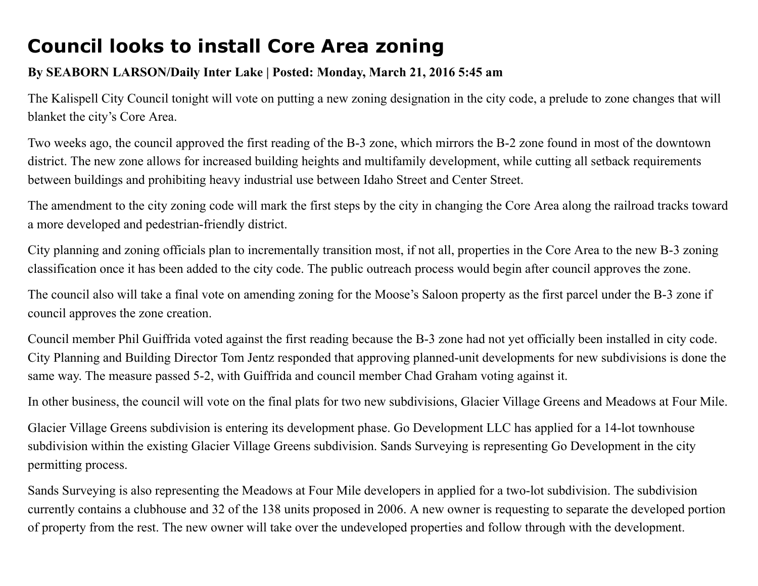## Council looks to install Core Area zoning

## By SEABORN LARSON/Daily Inter Lake | Posted: Monday, March 21, 2016 5:45 am

The Kalispell City Council tonight will vote on putting a new zoning designation in the city code, a prelude to zone changes that will blanket the city's Core Area.

Two weeks ago, the council approved the first reading of the B-3 zone, which mirrors the B-2 zone found in most of the downtown district. The new zone allows for increased building heights and multifamily development, while cutting all setback requirements between buildings and prohibiting heavy industrial use between Idaho Street and Center Street.

The amendment to the city zoning code will mark the first steps by the city in changing the Core Area along the railroad tracks toward a more developed and pedestrian-friendly district.

City planning and zoning officials plan to incrementally transition most, if not all, properties in the Core Area to the new B3 zoning classification once it has been added to the city code. The public outreach process would begin after council approves the zone.

The council also will take a final vote on amending zoning for the Moose's Saloon property as the first parcel under the B-3 zone if council approves the zone creation.

Council member Phil Guiffrida voted against the first reading because the B-3 zone had not yet officially been installed in city code. City Planning and Building Director Tom Jentz responded that approving planned-unit developments for new subdivisions is done the same way. The measure passed 5-2, with Guiffrida and council member Chad Graham voting against it.

In other business, the council will vote on the final plats for two new subdivisions, Glacier Village Greens and Meadows at Four Mile.

Glacier Village Greens subdivision is entering its development phase. Go Development LLC has applied for a 14-lot townhouse subdivision within the existing Glacier Village Greens subdivision. Sands Surveying is representing Go Development in the city permitting process.

Sands Surveying is also representing the Meadows at Four Mile developers in applied for a two-lot subdivision. The subdivision currently contains a clubhouse and 32 of the 138 units proposed in 2006. A new owner is requesting to separate the developed portion of property from the rest. The new owner will take over the undeveloped properties and follow through with the development.